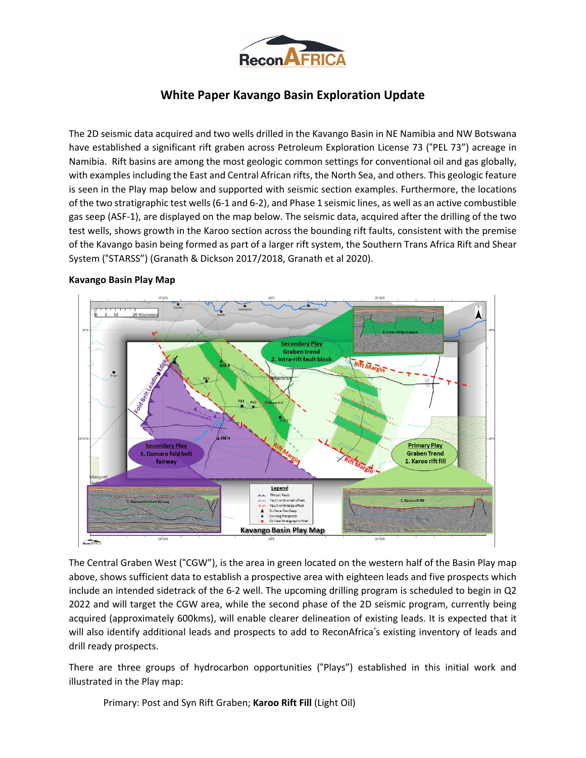

# **White Paper Kavango Basin Exploration Update**

The 2D seismic data acquired and two wells drilled in the Kavango Basin in NE Namibia and NW Botswana have established a significant rift graben across Petroleum Exploration License 73 ("PEL 73") acreage in Namibia. Rift basins are among the most geologic common settings for conventional oil and gas globally, with examples including the East and Central African rifts, the North Sea, and others. This geologic feature is seen in the Play map below and supported with seismic section examples. Furthermore, the locations of the two stratigraphic test wells(6-1 and 6-2), and Phase 1 seismic lines, as well as an active combustible gas seep (ASF-1), are displayed on the map below. The seismic data, acquired after the drilling of the two test wells, shows growth in the Karoo section across the bounding rift faults, consistent with the premise of the Kavango basin being formed as part of a larger rift system, the Southern Trans Africa Rift and Shear System ("STARSS") (Granath & Dickson 2017/2018, Granath et al 2020).



### **Kavango Basin Play Map**

The Central Graben West ("CGW"), is the area in green located on the western half of the Basin Play map above, shows sufficient data to establish a prospective area with eighteen leads and five prospects which include an intended sidetrack of the 6-2 well. The upcoming drilling program is scheduled to begin in Q2 2022 and will target the CGW area, while the second phase of the 2D seismic program, currently being acquired (approximately 600kms), will enable clearer delineation of existing leads. It is expected that it will also identify additional leads and prospects to add to ReconAfrica's existing inventory of leads and drill ready prospects.

There are three groups of hydrocarbon opportunities ("Plays") established in this initial work and illustrated in the Play map:

Primary: Post and Syn Rift Graben; **Karoo Rift Fill** (Light Oil)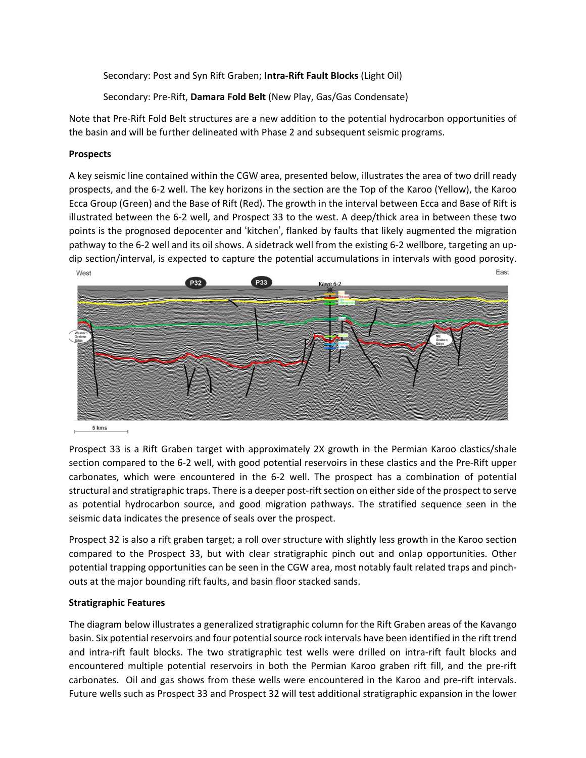Secondary: Post and Syn Rift Graben; **Intra-Rift Fault Blocks** (Light Oil)

Secondary: Pre-Rift, **Damara Fold Belt** (New Play, Gas/Gas Condensate)

Note that Pre-Rift Fold Belt structures are a new addition to the potential hydrocarbon opportunities of the basin and will be further delineated with Phase 2 and subsequent seismic programs.

## **Prospects**

A key seismic line contained within the CGW area, presented below, illustrates the area of two drill ready prospects, and the 6-2 well. The key horizons in the section are the Top of the Karoo (Yellow), the Karoo Ecca Group (Green) and the Base of Rift (Red). The growth in the interval between Ecca and Base of Rift is illustrated between the 6-2 well, and Prospect 33 to the west. A deep/thick area in between these two points is the prognosed depocenter and 'kitchen', flanked by faults that likely augmented the migration pathway to the 6-2 well and its oil shows. A sidetrack well from the existing 6-2 wellbore, targeting an updip section/interval, is expected to capture the potential accumulations in intervals with good porosity.



5 kms

Prospect 33 is a Rift Graben target with approximately 2X growth in the Permian Karoo clastics/shale section compared to the 6-2 well, with good potential reservoirs in these clastics and the Pre-Rift upper carbonates, which were encountered in the 6-2 well. The prospect has a combination of potential structural and stratigraphic traps. There is a deeper post-rift section on either side of the prospect to serve as potential hydrocarbon source, and good migration pathways. The stratified sequence seen in the seismic data indicates the presence of seals over the prospect.

Prospect 32 is also a rift graben target; a roll over structure with slightly less growth in the Karoo section compared to the Prospect 33, but with clear stratigraphic pinch out and onlap opportunities. Other potential trapping opportunities can be seen in the CGW area, most notably fault related traps and pinchouts at the major bounding rift faults, and basin floor stacked sands.

## **Stratigraphic Features**

The diagram below illustrates a generalized stratigraphic column for the Rift Graben areas of the Kavango basin. Six potential reservoirs and four potential source rock intervals have been identified in the rift trend and intra-rift fault blocks. The two stratigraphic test wells were drilled on intra-rift fault blocks and encountered multiple potential reservoirs in both the Permian Karoo graben rift fill, and the pre-rift carbonates. Oil and gas shows from these wells were encountered in the Karoo and pre-rift intervals. Future wells such as Prospect 33 and Prospect 32 will test additional stratigraphic expansion in the lower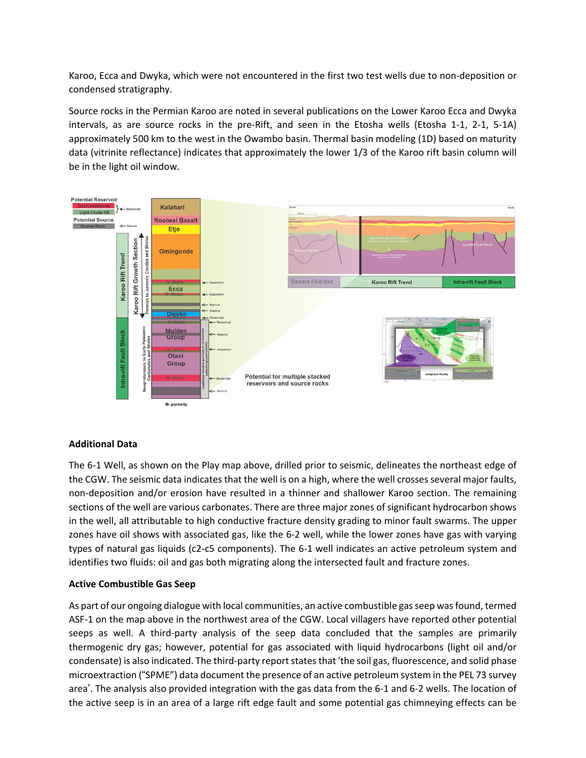Karoo, Ecca and Dwyka, which were not encountered in the first two test wells due to non-deposition or condensed stratigraphy.

Source rocks in the Permian Karoo are noted in several publications on the Lower Karoo Ecca and Dwyka intervals, as are source rocks in the pre-Rift, and seen in the Etosha wells (Etosha 1-1, 2-1, 5-1A) approximately 500 km to the west in the Owambo basin. Thermal basin modeling (1D) based on maturity data (vitrinite reflectance) indicates that approximately the lower 1/3 of the Karoo rift basin column will be in the light oil window.



### **Additional Data**

The 6-1 Well, as shown on the Play map above, drilled prior to seismic, delineates the northeast edge of the CGW. The seismic data indicates that the well is on a high, where the well crosses several major faults, non-deposition and/or erosion have resulted in a thinner and shallower Karoo section. The remaining sections of the well are various carbonates. There are three major zones of significant hydrocarbon shows in the well, all attributable to high conductive fracture density grading to minor fault swarms. The upper zones have oil shows with associated gas, like the 6-2 well, while the lower zones have gas with varying types of natural gas liquids (c2-c5 components). The 6-1 well indicates an active petroleum system and identifies two fluids: oil and gas both migrating along the intersected fault and fracture zones.

### **Active Combustible Gas Seep**

As part of our ongoing dialogue with local communities, an active combustible gasseep wasfound, termed ASF-1 on the map above in the northwest area of the CGW. Local villagers have reported other potential seeps as well. A third-party analysis of the seep data concluded that the samples are primarily thermogenic dry gas; however, potential for gas associated with liquid hydrocarbons (light oil and/or condensate) is also indicated. The third-party report states that 'the soil gas, fluorescence, and solid phase microextraction ("SPME") data document the presence of an active petroleum system in the PEL 73 survey area'. The analysis also provided integration with the gas data from the 6-1 and 6-2 wells. The location of the active seep is in an area of a large rift edge fault and some potential gas chimneying effects can be